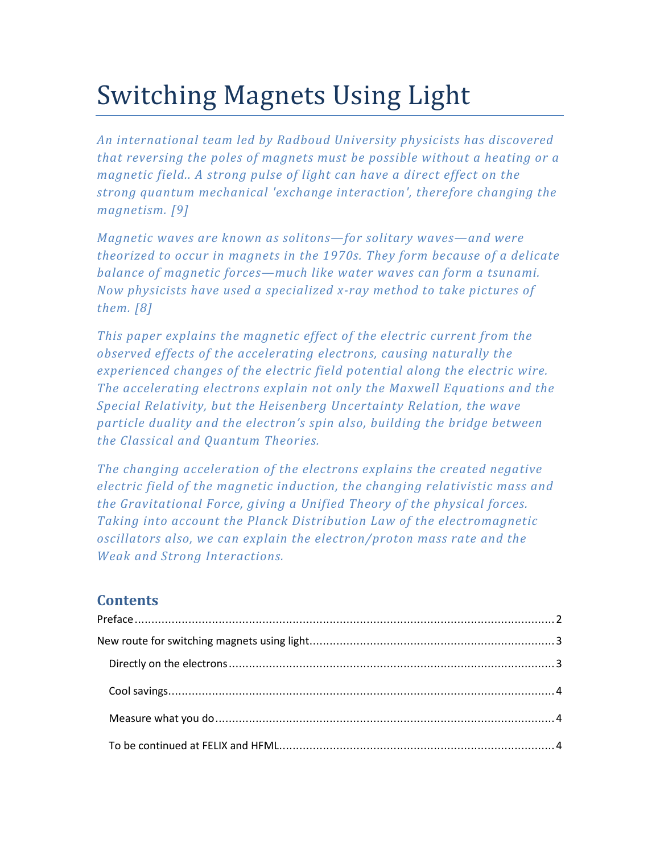# Switching Magnets Using Light

*An international team led by Radboud University physicists has discovered that reversing the poles of magnets must be possible without a heating or a magnetic field.. A strong pulse of light can have a direct effect on the strong quantum mechanical 'exchange interaction', therefore changing the magnetism. [9]* 

*Magnetic waves are known as solitons—for solitary waves—and were theorized to occur in magnets in the 1970s. They form because of a delicate balance of magnetic forces—much like water waves can form a tsunami. Now physicists have used a specialized x-ray method to take pictures of them. [8]* 

*This paper explains the magnetic effect of the electric current from the observed effects of the accelerating electrons, causing naturally the experienced changes of the electric field potential along the electric wire. The accelerating electrons explain not only the Maxwell Equations and the Special Relativity, but the Heisenberg Uncertainty Relation, the wave particle duality and the electron's spin also, building the bridge between the Classical and Quantum Theories.* 

*The changing acceleration of the electrons explains the created negative electric field of the magnetic induction, the changing relativistic mass and the Gravitational Force, giving a Unified Theory of the physical forces. Taking into account the Planck Distribution Law of the electromagnetic oscillators also, we can explain the electron/proton mass rate and the Weak and Strong Interactions.* 

# **Contents**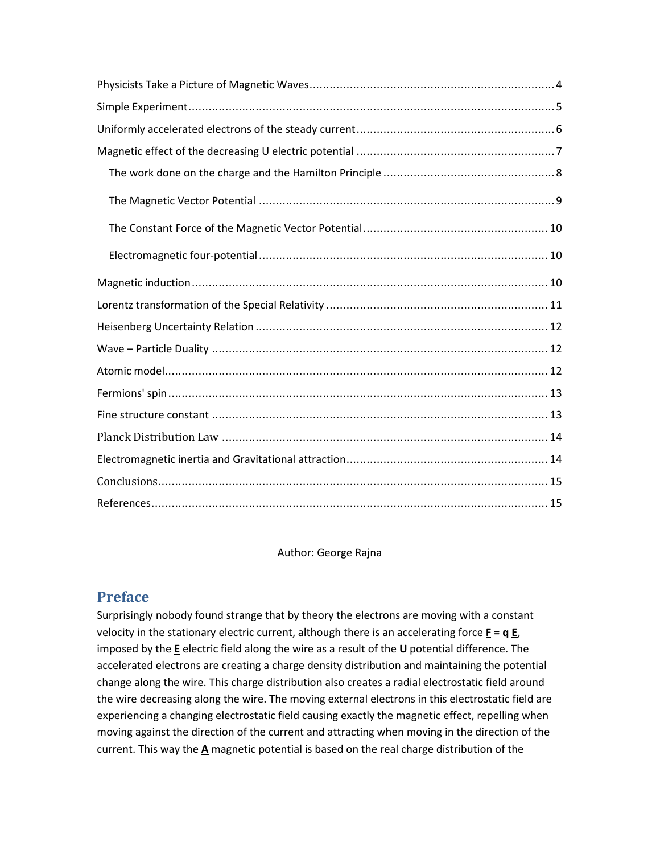Author: George Rajna

# **Preface**

Surprisingly nobody found strange that by theory the electrons are moving with a constant velocity in the stationary electric current, although there is an accelerating force **F** = q **E**, imposed by the **E** electric field along the wire as a result of the **U** potential difference. The accelerated electrons are creating a charge density distribution and maintaining the potential change along the wire. This charge distribution also creates a radial electrostatic field around the wire decreasing along the wire. The moving external electrons in this electrostatic field are experiencing a changing electrostatic field causing exactly the magnetic effect, repelling when moving against the direction of the current and attracting when moving in the direction of the current. This way the **A** magnetic potential is based on the real charge distribution of the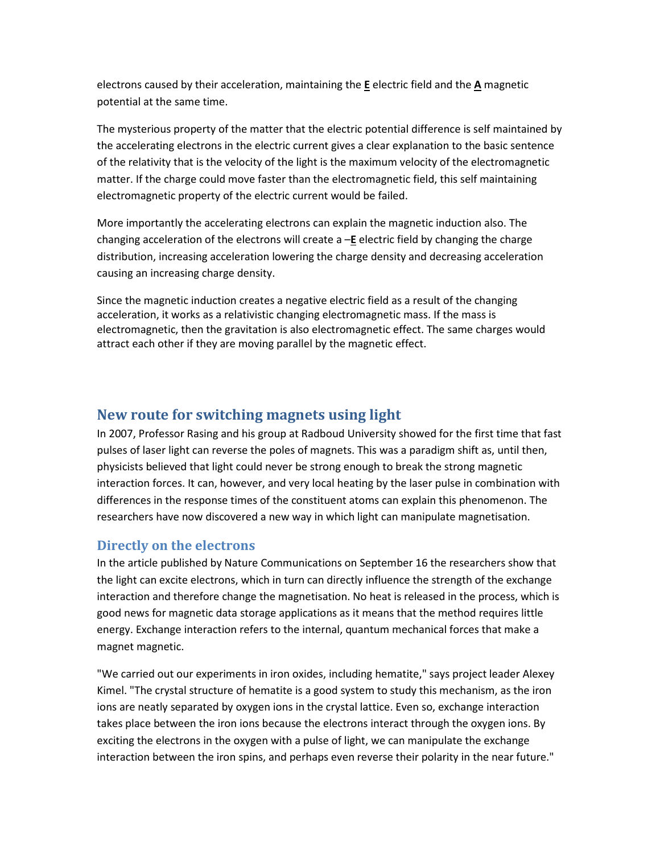electrons caused by their acceleration, maintaining the **E** electric field and the **A** magnetic potential at the same time.

The mysterious property of the matter that the electric potential difference is self maintained by the accelerating electrons in the electric current gives a clear explanation to the basic sentence of the relativity that is the velocity of the light is the maximum velocity of the electromagnetic matter. If the charge could move faster than the electromagnetic field, this self maintaining electromagnetic property of the electric current would be failed.

More importantly the accelerating electrons can explain the magnetic induction also. The changing acceleration of the electrons will create a –**E** electric field by changing the charge distribution, increasing acceleration lowering the charge density and decreasing acceleration causing an increasing charge density.

Since the magnetic induction creates a negative electric field as a result of the changing acceleration, it works as a relativistic changing electromagnetic mass. If the mass is electromagnetic, then the gravitation is also electromagnetic effect. The same charges would attract each other if they are moving parallel by the magnetic effect.

## **New route for switching magnets using light**

In 2007, Professor Rasing and his group at Radboud University showed for the first time that fast pulses of laser light can reverse the poles of magnets. This was a paradigm shift as, until then, physicists believed that light could never be strong enough to break the strong magnetic interaction forces. It can, however, and very local heating by the laser pulse in combination with differences in the response times of the constituent atoms can explain this phenomenon. The researchers have now discovered a new way in which light can manipulate magnetisation.

## **Directly on the electrons**

In the article published by Nature Communications on September 16 the researchers show that the light can excite electrons, which in turn can directly influence the strength of the exchange interaction and therefore change the magnetisation. No heat is released in the process, which is good news for magnetic data storage applications as it means that the method requires little energy. Exchange interaction refers to the internal, quantum mechanical forces that make a magnet magnetic.

"We carried out our experiments in iron oxides, including hematite," says project leader Alexey Kimel. "The crystal structure of hematite is a good system to study this mechanism, as the iron ions are neatly separated by oxygen ions in the crystal lattice. Even so, exchange interaction takes place between the iron ions because the electrons interact through the oxygen ions. By exciting the electrons in the oxygen with a pulse of light, we can manipulate the exchange interaction between the iron spins, and perhaps even reverse their polarity in the near future."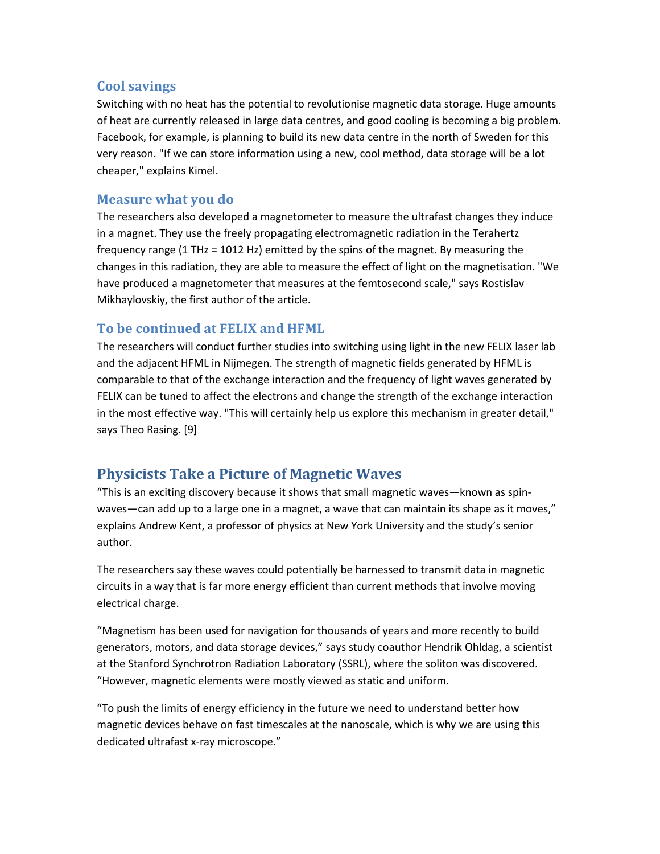#### **Cool savings**

Switching with no heat has the potential to revolutionise magnetic data storage. Huge amounts of heat are currently released in large data centres, and good cooling is becoming a big problem. Facebook, for example, is planning to build its new data centre in the north of Sweden for this very reason. "If we can store information using a new, cool method, data storage will be a lot cheaper," explains Kimel.

#### **Measure what you do**

The researchers also developed a magnetometer to measure the ultrafast changes they induce in a magnet. They use the freely propagating electromagnetic radiation in the Terahertz frequency range (1 THz = 1012 Hz) emitted by the spins of the magnet. By measuring the changes in this radiation, they are able to measure the effect of light on the magnetisation. "We have produced a magnetometer that measures at the femtosecond scale," says Rostislav Mikhaylovskiy, the first author of the article.

### **To be continued at FELIX and HFML**

The researchers will conduct further studies into switching using light in the new FELIX laser lab and the adjacent HFML in Nijmegen. The strength of magnetic fields generated by HFML is comparable to that of the exchange interaction and the frequency of light waves generated by FELIX can be tuned to affect the electrons and change the strength of the exchange interaction in the most effective way. "This will certainly help us explore this mechanism in greater detail," says Theo Rasing. [9]

# **Physicists Take a Picture of Magnetic Waves**

"This is an exciting discovery because it shows that small magnetic waves—known as spinwaves—can add up to a large one in a magnet, a wave that can maintain its shape as it moves," explains Andrew Kent, a professor of physics at New York University and the study's senior author.

The researchers say these waves could potentially be harnessed to transmit data in magnetic circuits in a way that is far more energy efficient than current methods that involve moving electrical charge.

"Magnetism has been used for navigation for thousands of years and more recently to build generators, motors, and data storage devices," says study coauthor Hendrik Ohldag, a scientist at the Stanford Synchrotron Radiation Laboratory (SSRL), where the soliton was discovered. "However, magnetic elements were mostly viewed as static and uniform.

"To push the limits of energy efficiency in the future we need to understand better how magnetic devices behave on fast timescales at the nanoscale, which is why we are using this dedicated ultrafast x-ray microscope."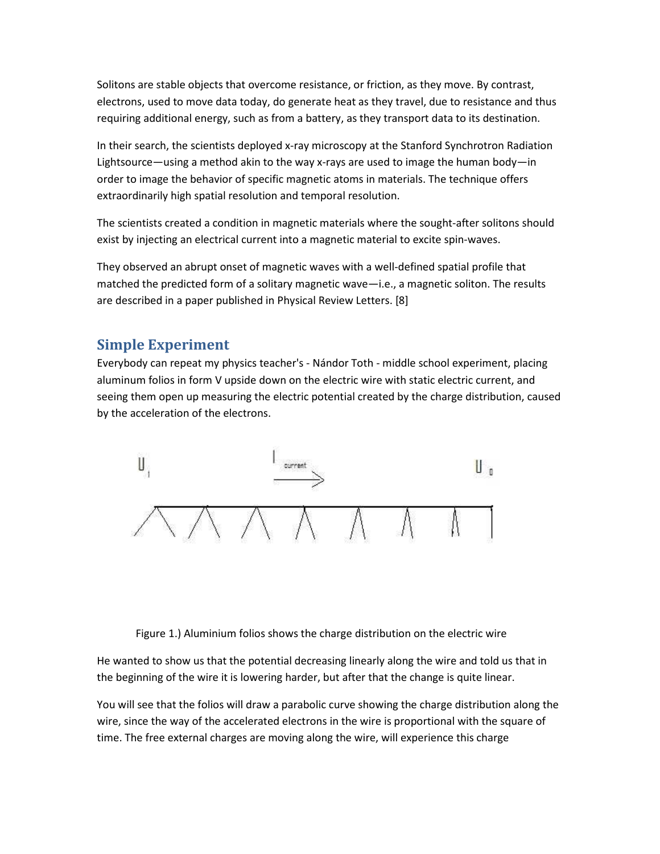Solitons are stable objects that overcome resistance, or friction, as they move. By contrast, electrons, used to move data today, do generate heat as they travel, due to resistance and thus requiring additional energy, such as from a battery, as they transport data to its destination.

In their search, the scientists deployed x-ray microscopy at the Stanford Synchrotron Radiation Lightsource—using a method akin to the way x-rays are used to image the human body—in order to image the behavior of specific magnetic atoms in materials. The technique offers extraordinarily high spatial resolution and temporal resolution.

The scientists created a condition in magnetic materials where the sought-after solitons should exist by injecting an electrical current into a magnetic material to excite spin-waves.

They observed an abrupt onset of magnetic waves with a well-defined spatial profile that matched the predicted form of a solitary magnetic wave—i.e., a magnetic soliton. The results are described in a paper published in Physical Review Letters. [8]

# **Simple Experiment**

Everybody can repeat my physics teacher's - Nándor Toth - middle school experiment, placing aluminum folios in form V upside down on the electric wire with static electric current, and seeing them open up measuring the electric potential created by the charge distribution, caused by the acceleration of the electrons.



Figure 1.) Aluminium folios shows the charge distribution on the electric wire

He wanted to show us that the potential decreasing linearly along the wire and told us that in the beginning of the wire it is lowering harder, but after that the change is quite linear.

You will see that the folios will draw a parabolic curve showing the charge distribution along the wire, since the way of the accelerated electrons in the wire is proportional with the square of time. The free external charges are moving along the wire, will experience this charge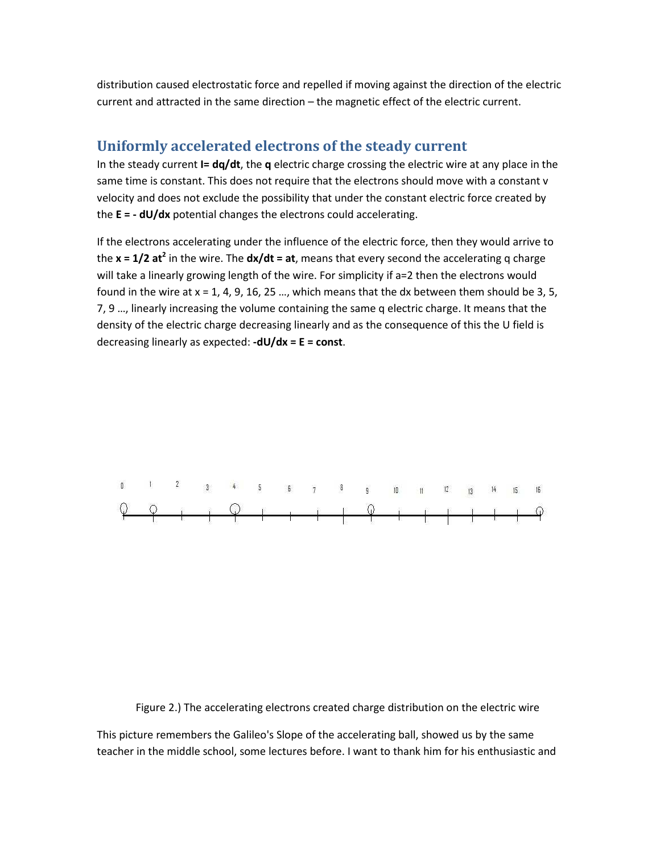distribution caused electrostatic force and repelled if moving against the direction of the electric current and attracted in the same direction – the magnetic effect of the electric current.

#### **Uniformly accelerated electrons of the steady current**

In the steady current **I= dq/dt**, the **q** electric charge crossing the electric wire at any place in the same time is constant. This does not require that the electrons should move with a constant v velocity and does not exclude the possibility that under the constant electric force created by the **E = - dU/dx** potential changes the electrons could accelerating.

If the electrons accelerating under the influence of the electric force, then they would arrive to the **x = 1/2 at<sup>2</sup> in the wire. The dx/dt = at**, means that every second the accelerating q charge will take a linearly growing length of the wire. For simplicity if a=2 then the electrons would found in the wire at  $x = 1, 4, 9, 16, 25, \ldots$ , which means that the dx between them should be 3, 5, 7, 9 …, linearly increasing the volume containing the same q electric charge. It means that the density of the electric charge decreasing linearly and as the consequence of this the U field is decreasing linearly as expected: **-dU/dx = E = const**.



Figure 2.) The accelerating electrons created charge distribution on the electric wire

This picture remembers the Galileo's Slope of the accelerating ball, showed us by the same teacher in the middle school, some lectures before. I want to thank him for his enthusiastic and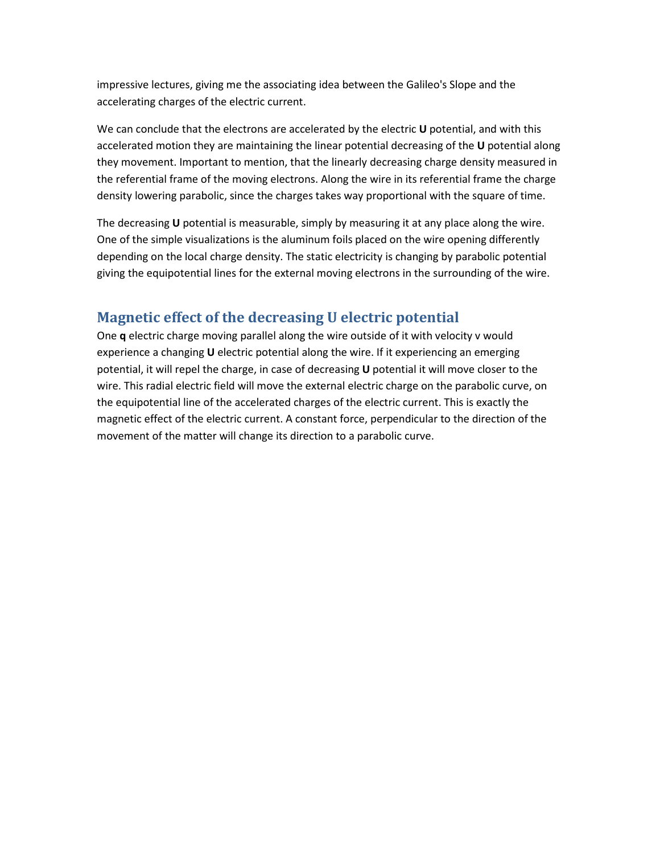impressive lectures, giving me the associating idea between the Galileo's Slope and the accelerating charges of the electric current.

We can conclude that the electrons are accelerated by the electric **U** potential, and with this accelerated motion they are maintaining the linear potential decreasing of the **U** potential along they movement. Important to mention, that the linearly decreasing charge density measured in the referential frame of the moving electrons. Along the wire in its referential frame the charge density lowering parabolic, since the charges takes way proportional with the square of time.

The decreasing **U** potential is measurable, simply by measuring it at any place along the wire. One of the simple visualizations is the aluminum foils placed on the wire opening differently depending on the local charge density. The static electricity is changing by parabolic potential giving the equipotential lines for the external moving electrons in the surrounding of the wire.

## **Magnetic effect of the decreasing U electric potential**

One **q** electric charge moving parallel along the wire outside of it with velocity v would experience a changing **U** electric potential along the wire. If it experiencing an emerging potential, it will repel the charge, in case of decreasing **U** potential it will move closer to the wire. This radial electric field will move the external electric charge on the parabolic curve, on the equipotential line of the accelerated charges of the electric current. This is exactly the magnetic effect of the electric current. A constant force, perpendicular to the direction of the movement of the matter will change its direction to a parabolic curve.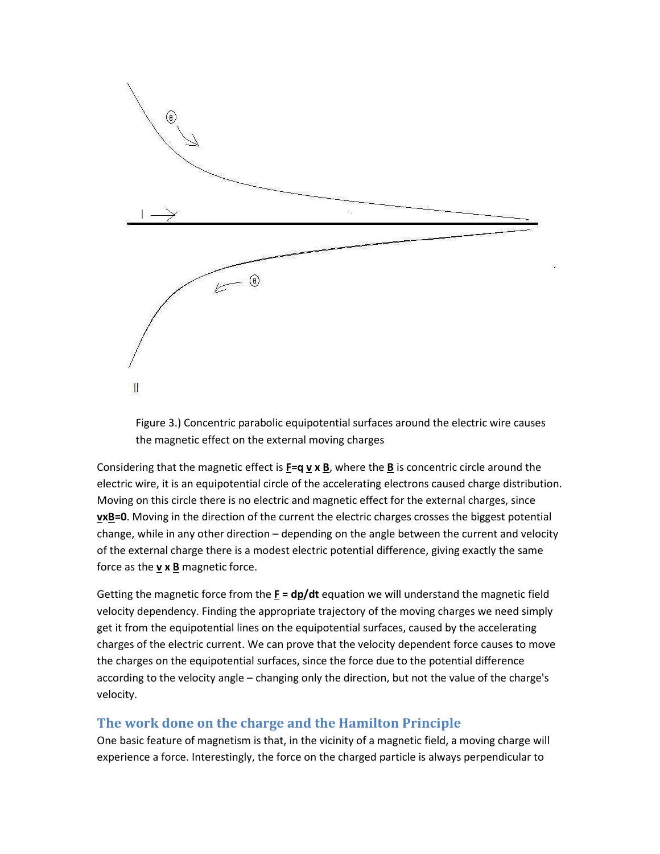

Figure 3.) Concentric parabolic equipotential surfaces around the electric wire causes the magnetic effect on the external moving charges

Considering that the magnetic effect is  $\underline{F} = q \underline{v} \times \underline{B}$ , where the  $\underline{B}$  is concentric circle around the electric wire, it is an equipotential circle of the accelerating electrons caused charge distribution. Moving on this circle there is no electric and magnetic effect for the external charges, since **vxB=0**. Moving in the direction of the current the electric charges crosses the biggest potential change, while in any other direction – depending on the angle between the current and velocity of the external charge there is a modest electric potential difference, giving exactly the same force as the  $\underline{v} \times \underline{B}$  magnetic force.

Getting the magnetic force from the **F = dp/dt** equation we will understand the magnetic field velocity dependency. Finding the appropriate trajectory of the moving charges we need simply get it from the equipotential lines on the equipotential surfaces, caused by the accelerating charges of the electric current. We can prove that the velocity dependent force causes to move the charges on the equipotential surfaces, since the force due to the potential difference according to the velocity angle – changing only the direction, but not the value of the charge's velocity.

## **The work done on the charge and the Hamilton Principle**

One basic feature of magnetism is that, in the vicinity of a magnetic field, a moving charge will experience a force. Interestingly, the force on the charged particle is always perpendicular to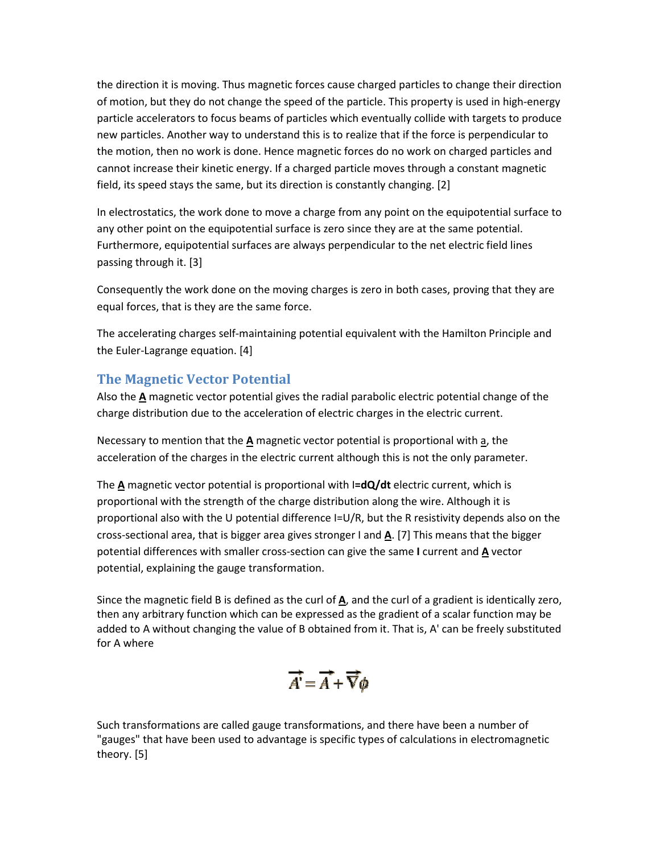the direction it is moving. Thus magnetic forces cause charged particles to change their direction of motion, but they do not change the speed of the particle. This property is used in high-energy particle accelerators to focus beams of particles which eventually collide with targets to produce new particles. Another way to understand this is to realize that if the force is perpendicular to the motion, then no work is done. Hence magnetic forces do no work on charged particles and cannot increase their kinetic energy. If a charged particle moves through a constant magnetic field, its speed stays the same, but its direction is constantly changing. [2]

In electrostatics, the work done to move a charge from any point on the equipotential surface to any other point on the equipotential surface is zero since they are at the same potential. Furthermore, equipotential surfaces are always perpendicular to the net electric field lines passing through it. [3]

Consequently the work done on the moving charges is zero in both cases, proving that they are equal forces, that is they are the same force.

The accelerating charges self-maintaining potential equivalent with the Hamilton Principle and the Euler-Lagrange equation. [4]

#### **The Magnetic Vector Potential**

Also the **A** magnetic vector potential gives the radial parabolic electric potential change of the charge distribution due to the acceleration of electric charges in the electric current.

Necessary to mention that the **A** magnetic vector potential is proportional with a, the acceleration of the charges in the electric current although this is not the only parameter.

The **A** magnetic vector potential is proportional with I**=dQ/dt** electric current, which is proportional with the strength of the charge distribution along the wire. Although it is proportional also with the U potential difference I=U/R, but the R resistivity depends also on the cross-sectional area, that is bigger area gives stronger I and **A**. [7] This means that the bigger potential differences with smaller cross-section can give the same **I** current and **A** vector potential, explaining the gauge transformation.

Since the magnetic field B is defined as the curl of **A**, and the curl of a gradient is identically zero, then any arbitrary function which can be expressed as the gradient of a scalar function may be added to A without changing the value of B obtained from it. That is, A' can be freely substituted for A where

$$
\overrightarrow{A} = \overrightarrow{A} + \overrightarrow{\nabla}\phi
$$

Such transformations are called gauge transformations, and there have been a number of "gauges" that have been used to advantage is specific types of calculations in electromagnetic theory. [5]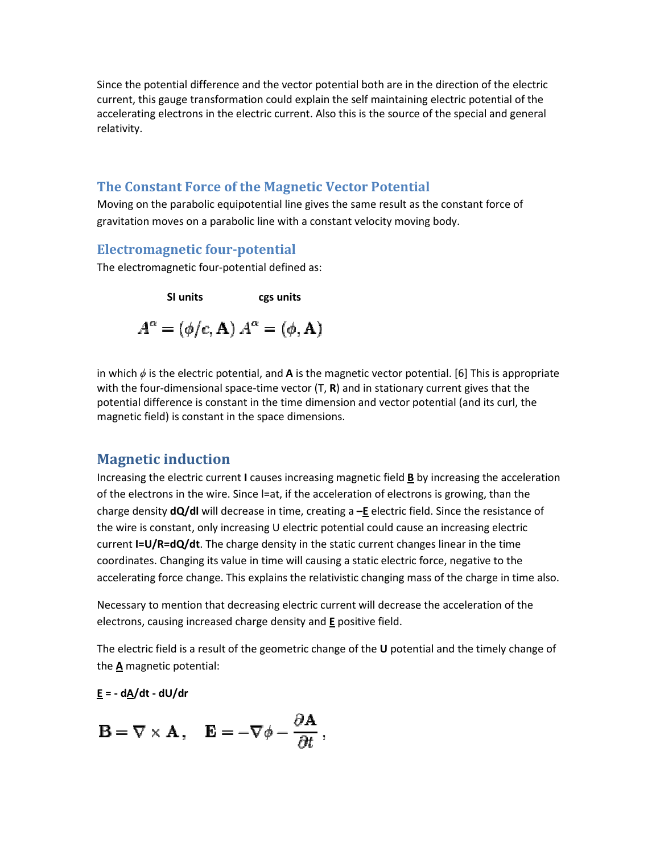Since the potential difference and the vector potential both are in the direction of the electric Since the potential difference and the vector potential both are in the direction of the electric<br>current, this gauge transformation could explain the self maintaining electric potential of the accelerating electrons in the electric current. Also this is the source of the special and general relativity. In the self maintaining electric potential of the<br>Iso this is the source of the special and general<br>Vector Potential<br>Sthe same result as the constant force of<br>Instant velocity moving body.<br>Instant velocity moving body.

#### **The Constant Force of the Magnetic Vector Potential**

Moving on the parabolic equipotential line gives the same result as the constant force of gravitation moves on a parabolic line with a constant velocity moving body.

#### **Electromagnetic four-potential potential**

The electromagnetic four-potential defined as:

**SI units cgs units**  $A^{\alpha} = (\phi/c, \mathbf{A}) A^{\alpha} = (\phi, \mathbf{A})$ 

in which  $\phi$  is the electric potential, and **A** is the magnetic vector potential. [6] This is with the four-dimensional space-time vector (T, **R**) and in stationary current gives that the potential difference is constant in the time dimension and vector potential (and its curl, the magnetic field) is constant in the space dimensions. Increasing the electric current **I** causes increasing magnetic field **B** by increasing the acceleration Increasing the electric current **I** causes increasing magnetic field **B** by increasing the acceleration

## **Magnetic induction**

of the electrons in the wire. Since l=at, if the acceleration of electrons is growing, than the charge density **dQ/dl** will decrease in time, creating a -**E** electric field. Since the resistance of the wire is constant, only increasing U electric potential could cause an increasing electric the wire is constant, only increasing U electric potential could cause an increasing electriquenty.<br>The current **I=U/R=dQ/dt**. The charge density in the static current changes linear in the time coordinates. Changing its value in time will causing a static electric force, negative to the accelerating force change. This explains the relativistic changing mass of the charge in time also. Equipment in time, creating a  $-\underline{E}$  electric field. Since the resistance in the electric potential could cause an increasing electric density in the static current changes linear in the time time will causing a static e

accelerating force change. This explains the relativistic changing mass of the charge in time a<br>Necessary to mention that decreasing electric current will decrease the acceleration of the electrons, causing increased charge density and **E** positive field.

The electric field is a result of the geometric change of the U potential and the timely change of the **A** magnetic potential:

**E = - dA/dt - dU/dr** 

$$
\mathbf{B} = \nabla \times \mathbf{A} \,, \quad \mathbf{E} = -\nabla \phi - \frac{\partial \mathbf{A}}{\partial t} \,,
$$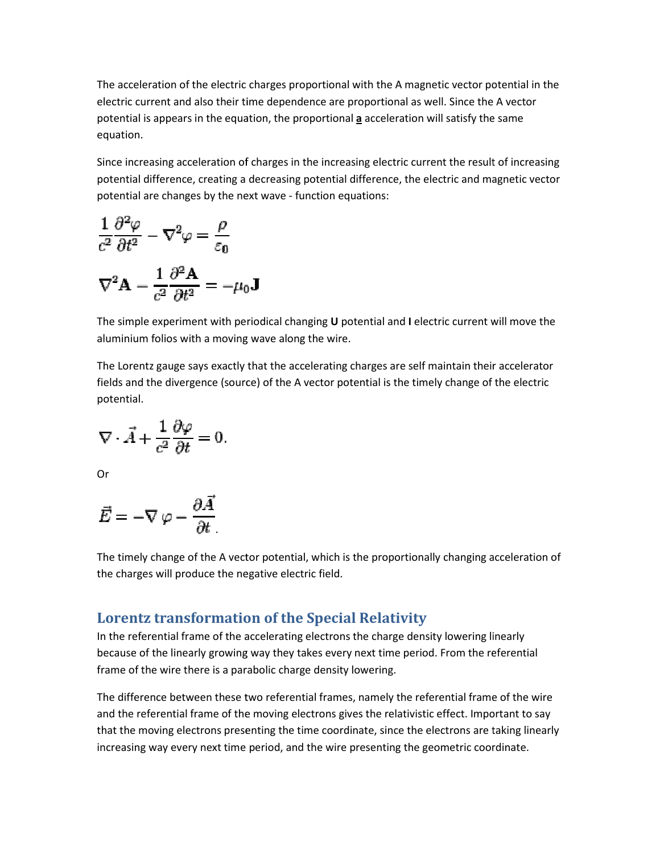The acceleration of the electric charges proportional with the A magnetic vector potential in the The acceleration of the electric charges proportional with the A magnetic vector potential in<br>electric current and also their time dependence are proportional as well. Since the A vector potential is appears in the equation, the proportional **a** acceleration will satisfy the same equation.

Since increasing acceleration of charges in the increasing electric current the result of increasing potential difference, creating a decreasing potential difference, the electric and magnetic vector potential are changes by the next wave - function equations: also their time dependence are proportional as well. Since the A vector<br>
in the equation, the proportional  $\underline{a}$  acceleration will satisfy the same<br>
eleration of charges in the increasing electric current the result of

$$
\frac{1}{c^2} \frac{\partial^2 \varphi}{\partial t^2} - \nabla^2 \varphi = \frac{\rho}{\varepsilon_0}
$$

$$
\nabla^2 \mathbf{A} - \frac{1}{c^2} \frac{\partial^2 \mathbf{A}}{\partial t^2} = -\mu_0 \mathbf{J}
$$

The simple experiment with periodical changing **U** potential and I electric current will move the aluminium folios with a moving wave along the wire.

aluminium folios with a moving wave along the wire.<br>The Lorentz gauge says exactly that the accelerating charges are self maintain their accelerator fields and the divergence (source) of the A vector potential is the timely change of the electric potential.

$$
\nabla \cdot \vec{A} + \frac{1}{c^2} \frac{\partial \varphi}{\partial t} = 0.
$$

Or

$$
\vec{E} = -\nabla \varphi - \frac{\partial \vec{A}}{\partial t}
$$

The timely change of the A vector potential, which is the proportionally changing acceleration of the charges will produce the negative electric field.

# **Lorentz transformation of the Special Relativity of the Special**

In the referential frame of the accelerating electrons the charge density lowering linearly In the referential frame of the accelerating electrons the charge density lowering linearly<br>because of the linearly growing way they takes every next time period. From the referential frame of the wire there is a parabolic charge density lowering.

The difference between these two referential frames, namely the referential frame of the wire and the referential frame of the moving electrons gives the relativistic effect. Important to say that the moving electrons presenting the time coordinate, since the electrons are taking linearly increasing way every next time period, and the wire presenting the geometric coordinate. election of the electric charges proportional with the A magnetic vector potential in the<br>
listendor of the electric charges in the interesting electric current the result of increasing<br>  $\frac{P}{P} = \nabla^2 \varphi = \frac{\rho}{\epsilon_0}$ <br>  $-\$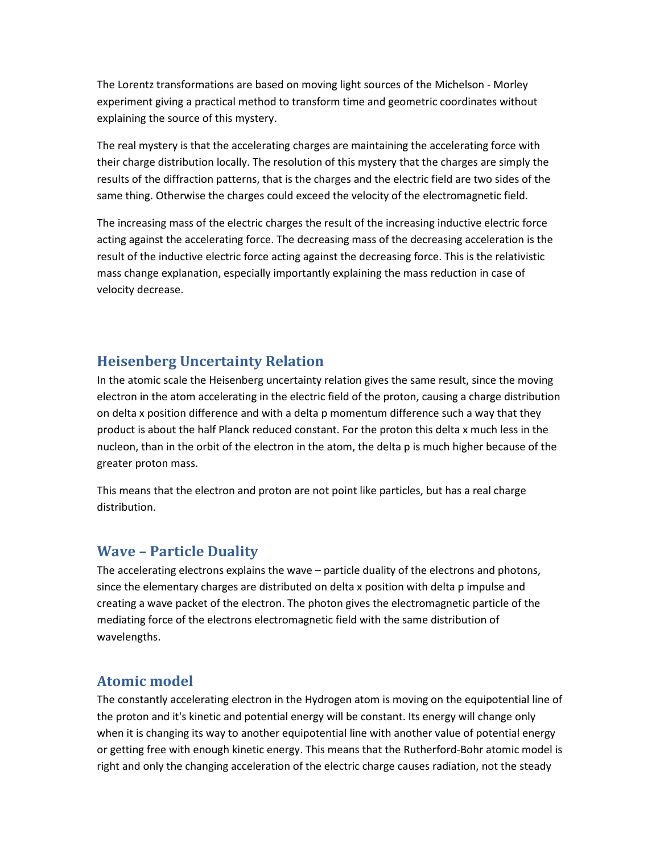The Lorentz transformations are based on moving light sources of the Michelson - Morley experiment giving a practical method to transform time and geometric coordinates without explaining the source of this mystery.

The real mystery is that the accelerating charges are maintaining the accelerating force with their charge distribution locally. The resolution of this mystery that the charges are simply the results of the diffraction patterns, that is the charges and the electric field are two sides of the same thing. Otherwise the charges could exceed the velocity of the electromagnetic field.

The increasing mass of the electric charges the result of the increasing inductive electric force acting against the accelerating force. The decreasing mass of the decreasing acceleration is the result of the inductive electric force acting against the decreasing force. This is the relativistic mass change explanation, especially importantly explaining the mass reduction in case of velocity decrease.

# **Heisenberg Uncertainty Relation**

In the atomic scale the Heisenberg uncertainty relation gives the same result, since the moving electron in the atom accelerating in the electric field of the proton, causing a charge distribution on delta x position difference and with a delta p momentum difference such a way that they product is about the half Planck reduced constant. For the proton this delta x much less in the nucleon, than in the orbit of the electron in the atom, the delta p is much higher because of the greater proton mass.

This means that the electron and proton are not point like particles, but has a real charge distribution.

# **Wave – Particle Duality**

The accelerating electrons explains the wave – particle duality of the electrons and photons, since the elementary charges are distributed on delta x position with delta p impulse and creating a wave packet of the electron. The photon gives the electromagnetic particle of the mediating force of the electrons electromagnetic field with the same distribution of wavelengths.

# **Atomic model**

The constantly accelerating electron in the Hydrogen atom is moving on the equipotential line of the proton and it's kinetic and potential energy will be constant. Its energy will change only when it is changing its way to another equipotential line with another value of potential energy or getting free with enough kinetic energy. This means that the Rutherford-Bohr atomic model is right and only the changing acceleration of the electric charge causes radiation, not the steady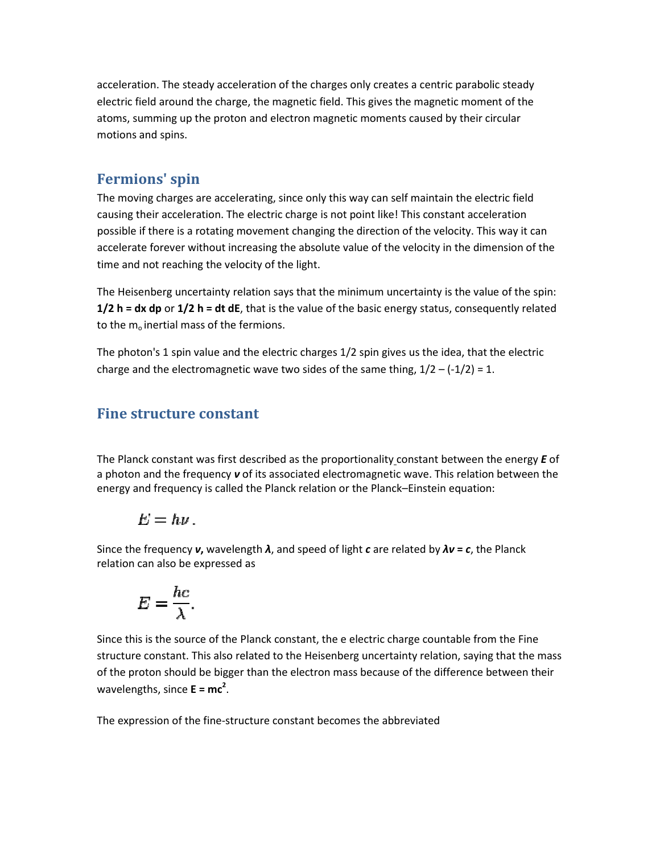acceleration. The steady acceleration of the charges only creates a centric parabolic steady acceleration. The steady acceleration of the charges only creates a centric parabolic steady<br>electric field around the charge, the magnetic field. This gives the magnetic moment of the atoms, summing up the proton and electron magnetic moments caused by their circular motions and spins.

## **Fermions' spin**

The moving charges are accelerating, since only this way can self maintain the electric field causing their acceleration. The electric charge is not point like! This constant acceleration possible if there is a rotating movement changing the direction of the velocity. This way it can accelerate forever without increasing the absolute value of the velocity in the dimension of the time and not reaching the velocity of the light. is, summing up the proton and electron magnetic moments caused by their circular<br>protons and spins.<br>**mions' spin**<br>moving charges are accelerating, since only this way can self maintain the electric field<br>ng their accelerat

The Heisenberg uncertainty relation says that the minimum uncertainty is the value of the spin: time and not reaching the velocity of the light.<br>The Heisenberg uncertainty relation says that the minimum uncertainty is the value of the spin:<br>**1/2 h = dx dp** or **1/2 h = dt dE**, that is the value of the basic energy sta to the  $m_0$  inertial mass of the fermions. ty is the dimension of the<br>hty is the value of the spin:<br>atus, consequently related<br>ne idea, that the electric<br>2 – (-1/2) = 1.<br>nt between the energy **E** of

The photon's 1 spin value and the electric charges 1/2 spin gives us the idea, that the electric charge and the electromagnetic wave two sides of the same thing,  $1/2 - (-1/2) = 1$ . ertial mass of the fermions.<br>'s 1 spin value and the electric charges 1/2 spin gives us the idea, that tl<br>the electromagnetic wave two sides of the same thing, 1/2 – (-1/2) = 1.

## **Fine structure constant**

The Planck constant was first described as the proportionality constant between the a photon and the frequency v of its associated electromagnetic wave. This relation between the energy and frequency is called the Planck relation or the Planck-Einstein equation:

$$
E= h\nu.
$$

Since the frequency *ν***,** wavelength *λ*, and speed of light *c* are related by *λν* **=** *c*, the Planck relation can also be expressed as

$$
E = \frac{hc}{\lambda}.
$$

Since this is the source of the Planck constant, the e electric charge countable from the Fine structure constant. This also related to the Heisenberg uncertainty relation, saying that the mass of the proton should be bigger than the electron mass because of the difference between their wavelengths, since **E = mc<sup>2</sup>** . can also be expressed as<br>  $E = \frac{hc}{\lambda}$ .<br>
s is the source of the Planck constant, the e electric charge countable from the Fine<br>
e constant. This also related to the Heisenberg uncertainty relation, saying that the mas<br>
ot . This relation<br>tein equation:<br>by  $\lambda v$  =  $c$ , the<br>puntable from<br>lation, saying<br>e difference be

The expression of the fine-structure constant becomes the abbreviated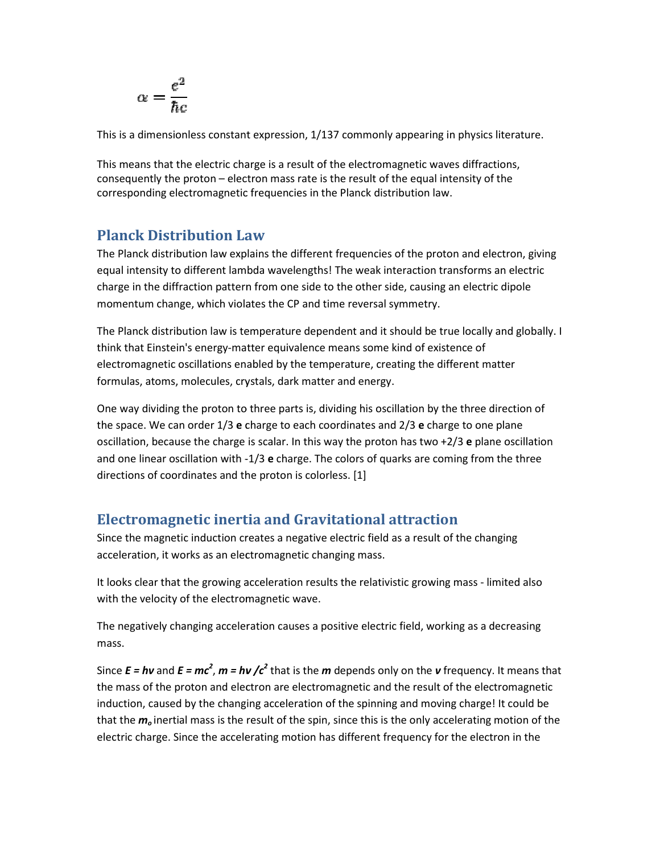$$
\alpha = \frac{e^2}{\hbar c}
$$

This is a dimensionless constant expression, 1/137 commonly appearing in physics literature.<br>This means that the electric charge is a result of the electromagnetic waves diffractions,<br>consequently the proton – electron mas This means that the electric charge is a result of the electromagnetic waves diffractions, consequently the proton – electron mass rate is the result of the equal intensity of the corresponding electromagnetic frequencies in the Planck distribution law.

## **Planck Distribution Law**

The Planck distribution law explains the different frequencies of the proton and electron, giving equal intensity to different lambda wavelengths! The weak interaction transforms an electric charge in the diffraction pattern from one side to the other side, causing an electric dipole momentum change, which violates the CP and time reversal symmetry.

The Planck distribution law is temperature dependent and it should be true locally and globally. I think that Einstein's energy-matter equivalence means some kind of existence of electromagnetic oscillations enabled by the temperature, creating the different matte formulas, atoms, molecules, crystals, dark matter and energy. momentum change, which violates the CP and time reversal symmetry.<br>The Planck distribution law is temperature dependent and it should be true loca<br>think that Einstein's energy-matter equivalence means some kind of existenc

One way dividing the proton to three parts is, dividing his oscillation by the three direction of the space. We can order 1/3 **e** charge to each coordinates and 2/3 **e** charge to one plane oscillation, because the charge is scalar. In this way the proton has two +2/3 e plane oscillation and one linear oscillation with -1/3 e charge. The colors of quarks are coming from the three directions of coordinates and the proton is colorless. [1]

# **Electromagnetic inertia and Gravitational attraction and Gravitational**

Since the magnetic induction creates a negative electric field as a result of the changing<br>acceleration, it works as an electromagnetic changing mass. acceleration, it works as an electromagnetic

It looks clear that the growing acceleration results the relativistic growing mass - limited also with the velocity of the electromagnetic wave.

with the velocity of the electromagnetic wave.<br>The negatively changing acceleration causes a positive electric field, working as a decreasing mass.

Since  $E = h\nu$  and  $E = mc^2$ ,  $m = h\nu$  /c<sup>2</sup> that is the *m* depends only on the *v* frequency. It means that the mass of the proton and electron are electromagnetic and the result of the electromagnetic induction, caused by the changing acceleration of the spinning and moving charge! that the *m<sup>o</sup>* inertial mass is the result of the spin, since this is the only accelerating motion of the electric charge. Since the accelerating motion has different frequency for the electron in the ently the proton – electron mass rate is the result of the equal intensity of the<br>nonling electromagnetic frequencies in the Planck distribution law.<br> **k** Distribution I.aw<br>
check distribution law seplans the different fr quarks are coming from the three<br>
1<br> **d** as a result of the changing<br>
5.<br>
tivistic growing mass - limited also<br>
tric field, working as a decreasing<br>
only on the **v** frequency. It means th<br>
nd the result of the electromagne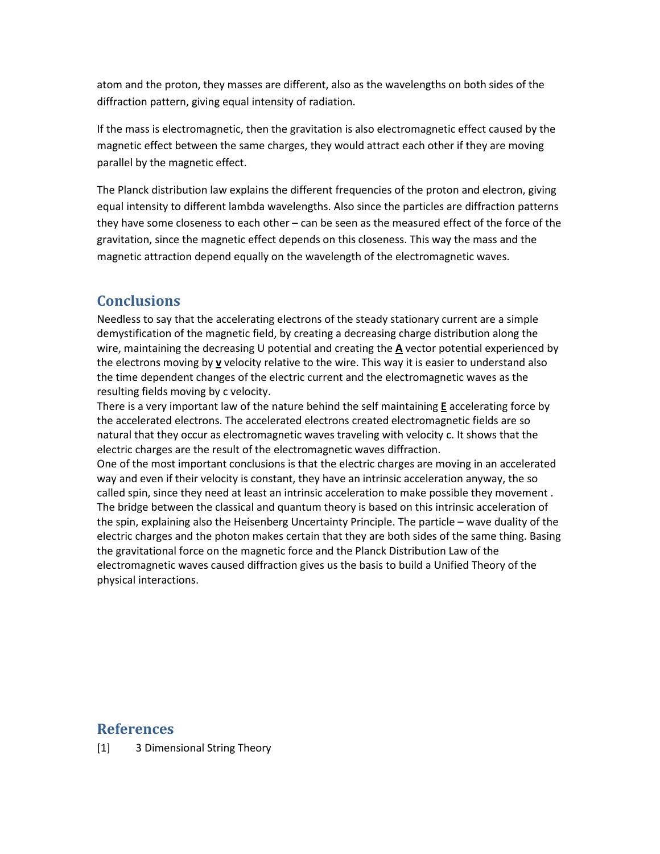atom and the proton, they masses are different, also as the wavelengths on both sides of the diffraction pattern, giving equal intensity of radiation.

If the mass is electromagnetic, then the gravitation is also electromagnetic effect caused by the magnetic effect between the same charges, they would attract each other if they are moving parallel by the magnetic effect.

The Planck distribution law explains the different frequencies of the proton and electron, giving equal intensity to different lambda wavelengths. Also since the particles are diffraction patterns they have some closeness to each other – can be seen as the measured effect of the force of the gravitation, since the magnetic effect depends on this closeness. This way the mass and the magnetic attraction depend equally on the wavelength of the electromagnetic waves.

# **Conclusions**

Needless to say that the accelerating electrons of the steady stationary current are a simple demystification of the magnetic field, by creating a decreasing charge distribution along the wire, maintaining the decreasing U potential and creating the **A** vector potential experienced by the electrons moving by **v** velocity relative to the wire. This way it is easier to understand also the time dependent changes of the electric current and the electromagnetic waves as the resulting fields moving by c velocity.

There is a very important law of the nature behind the self maintaining **E** accelerating force by the accelerated electrons. The accelerated electrons created electromagnetic fields are so natural that they occur as electromagnetic waves traveling with velocity c. It shows that the electric charges are the result of the electromagnetic waves diffraction.

One of the most important conclusions is that the electric charges are moving in an accelerated way and even if their velocity is constant, they have an intrinsic acceleration anyway, the so called spin, since they need at least an intrinsic acceleration to make possible they movement . The bridge between the classical and quantum theory is based on this intrinsic acceleration of the spin, explaining also the Heisenberg Uncertainty Principle. The particle – wave duality of the electric charges and the photon makes certain that they are both sides of the same thing. Basing the gravitational force on the magnetic force and the Planck Distribution Law of the electromagnetic waves caused diffraction gives us the basis to build a Unified Theory of the physical interactions.

#### **References**

[1] 3 Dimensional String Theory